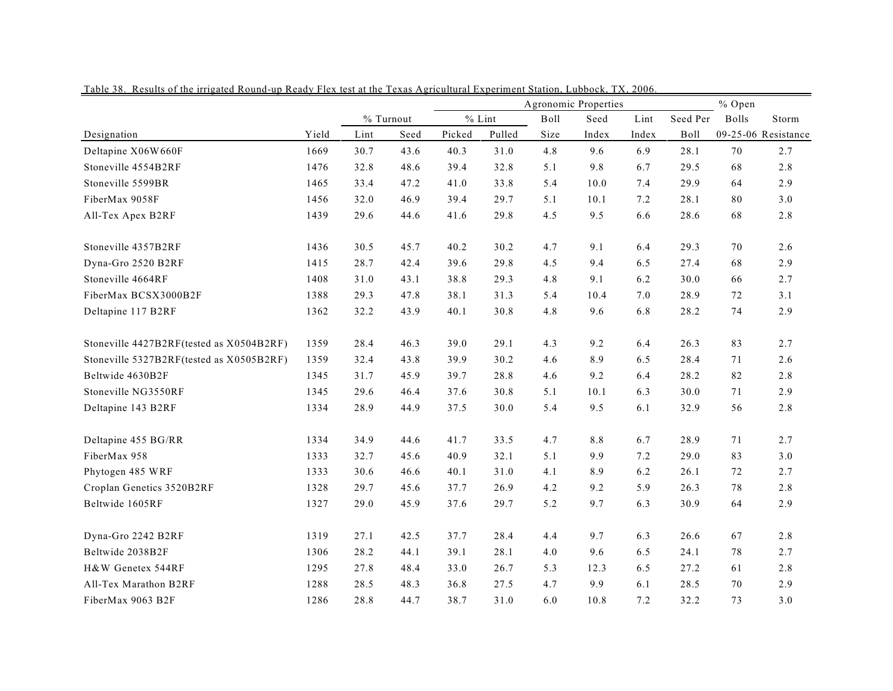|                                          |       |      |           |        | Agronomic Properties | % Open |         |       |             |              |                     |
|------------------------------------------|-------|------|-----------|--------|----------------------|--------|---------|-------|-------------|--------------|---------------------|
|                                          |       |      | % Turnout |        | $%$ Lint             | Boll   | Seed    | Lint  | Seed Per    | <b>Bolls</b> | Storm               |
| Designation                              | Yield | Lint | Seed      | Picked | Pulled               | Size   | Index   | Index | <b>Boll</b> |              | 09-25-06 Resistance |
| Deltapine X06W660F                       | 1669  | 30.7 | 43.6      | 40.3   | 31.0                 | 4.8    | 9.6     | 6.9   | 28.1        | 70           | 2.7                 |
| Stoneville 4554B2RF                      | 1476  | 32.8 | 48.6      | 39.4   | 32.8                 | 5.1    | 9.8     | 6.7   | 29.5        | 68           | 2.8                 |
| Stoneville 5599BR                        | 1465  | 33.4 | 47.2      | 41.0   | 33.8                 | 5.4    | 10.0    | 7.4   | 29.9        | 64           | 2.9                 |
| FiberMax 9058F                           | 1456  | 32.0 | 46.9      | 39.4   | 29.7                 | 5.1    | 10.1    | 7.2   | 28.1        | 80           | 3.0                 |
| All-Tex Apex B2RF                        | 1439  | 29.6 | 44.6      | 41.6   | 29.8                 | 4.5    | 9.5     | 6.6   | 28.6        | 68           | 2.8                 |
| Stoneville 4357B2RF                      | 1436  | 30.5 | 45.7      | 40.2   | 30.2                 | 4.7    | 9.1     | 6.4   | 29.3        | 70           | 2.6                 |
| Dyna-Gro 2520 B2RF                       | 1415  | 28.7 | 42.4      | 39.6   | 29.8                 | 4.5    | 9.4     | 6.5   | 27.4        | 68           | 2.9                 |
| Stoneville 4664RF                        | 1408  | 31.0 | 43.1      | 38.8   | 29.3                 | 4.8    | 9.1     | 6.2   | 30.0        | 66           | 2.7                 |
| FiberMax BCSX3000B2F                     | 1388  | 29.3 | 47.8      | 38.1   | 31.3                 | 5.4    | 10.4    | 7.0   | 28.9        | 72           | 3.1                 |
| Deltapine 117 B2RF                       | 1362  | 32.2 | 43.9      | 40.1   | 30.8                 | 4.8    | 9.6     | 6.8   | 28.2        | 74           | 2.9                 |
| Stoneville 4427B2RF(tested as X0504B2RF) | 1359  | 28.4 | 46.3      | 39.0   | 29.1                 | 4.3    | 9.2     | 6.4   | 26.3        | 83           | 2.7                 |
| Stoneville 5327B2RF(tested as X0505B2RF) | 1359  | 32.4 | 43.8      | 39.9   | 30.2                 | 4.6    | 8.9     | 6.5   | 28.4        | 71           | 2.6                 |
| Beltwide 4630B2F                         | 1345  | 31.7 | 45.9      | 39.7   | 28.8                 | 4.6    | 9.2     | 6.4   | 28.2        | 82           | 2.8                 |
| Stoneville NG3550RF                      | 1345  | 29.6 | 46.4      | 37.6   | 30.8                 | 5.1    | 10.1    | 6.3   | 30.0        | 71           | 2.9                 |
| Deltapine 143 B2RF                       | 1334  | 28.9 | 44.9      | 37.5   | 30.0                 | 5.4    | 9.5     | 6.1   | 32.9        | 56           | 2.8                 |
| Deltapine 455 BG/RR                      | 1334  | 34.9 | 44.6      | 41.7   | 33.5                 | 4.7    | $8.8\,$ | 6.7   | 28.9        | 71           | 2.7                 |
| FiberMax 958                             | 1333  | 32.7 | 45.6      | 40.9   | 32.1                 | 5.1    | 9.9     | 7.2   | 29.0        | 83           | 3.0                 |
| Phytogen 485 WRF                         | 1333  | 30.6 | 46.6      | 40.1   | 31.0                 | 4.1    | 8.9     | 6.2   | 26.1        | 72           | 2.7                 |
| Croplan Genetics 3520B2RF                | 1328  | 29.7 | 45.6      | 37.7   | 26.9                 | 4.2    | 9.2     | 5.9   | 26.3        | 78           | 2.8                 |
| Beltwide 1605RF                          | 1327  | 29.0 | 45.9      | 37.6   | 29.7                 | 5.2    | 9.7     | 6.3   | 30.9        | 64           | 2.9                 |
| Dyna-Gro 2242 B2RF                       | 1319  | 27.1 | 42.5      | 37.7   | 28.4                 | 4.4    | 9.7     | 6.3   | 26.6        | 67           | 2.8                 |
| Beltwide 2038B2F                         | 1306  | 28.2 | 44.1      | 39.1   | 28.1                 | 4.0    | 9.6     | 6.5   | 24.1        | 78           | 2.7                 |
| H&W Genetex 544RF                        | 1295  | 27.8 | 48.4      | 33.0   | 26.7                 | 5.3    | 12.3    | 6.5   | 27.2        | 61           | 2.8                 |
| All-Tex Marathon B2RF                    | 1288  | 28.5 | 48.3      | 36.8   | 27.5                 | 4.7    | 9.9     | 6.1   | 28.5        | 70           | 2.9                 |
| FiberMax 9063 B2F                        | 1286  | 28.8 | 44.7      | 38.7   | 31.0                 | 6.0    | 10.8    | 7.2   | 32.2        | 73           | 3.0                 |

Table 38. Results of the irrigated Round-up Ready Flex test at the Texas Agricultural Experiment Station, Lubbock, TX, 2006.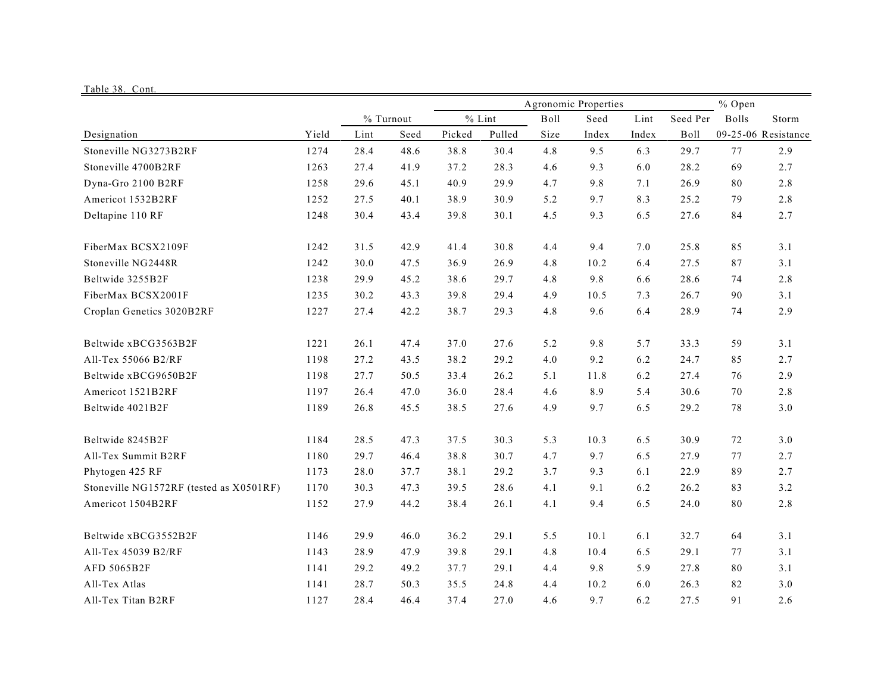| Table 38. Cont.                         |       |      |                   |        |                    |              |                      |               |                  |              |                              |
|-----------------------------------------|-------|------|-------------------|--------|--------------------|--------------|----------------------|---------------|------------------|--------------|------------------------------|
|                                         |       |      |                   |        |                    |              | Agronomic Properties |               |                  | % Open       |                              |
| Designation                             | Yield | Lint | % Turnout<br>Seed | Picked | $%$ Lint<br>Pulled | Boll<br>Size | Seed<br>Index        | Lint<br>Index | Seed Per<br>Boll | <b>Bolls</b> | Storm<br>09-25-06 Resistance |
| Stoneville NG3273B2RF                   | 1274  | 28.4 | 48.6              | 38.8   | 30.4               | 4.8          | 9.5                  | 6.3           | 29.7             | 77           | 2.9                          |
| Stoneville 4700B2RF                     | 1263  | 27.4 | 41.9              | 37.2   | 28.3               | 4.6          | 9.3                  | 6.0           | 28.2             | 69           | 2.7                          |
|                                         | 1258  | 29.6 | 45.1              | 40.9   | 29.9               | 4.7          | 9.8                  | 7.1           | 26.9             | 80           | 2.8                          |
| Dyna-Gro 2100 B2RF                      | 1252  | 27.5 | 40.1              | 38.9   | 30.9               | 5.2          | 9.7                  | 8.3           | 25.2             | 79           | 2.8                          |
| Americot 1532B2RF                       |       |      |                   |        |                    |              |                      |               |                  |              |                              |
| Deltapine 110 RF                        | 1248  | 30.4 | 43.4              | 39.8   | 30.1               | 4.5          | 9.3                  | 6.5           | 27.6             | 84           | 2.7                          |
| FiberMax BCSX2109F                      | 1242  | 31.5 | 42.9              | 41.4   | 30.8               | 4.4          | 9.4                  | 7.0           | 25.8             | 85           | 3.1                          |
| Stoneville NG2448R                      | 1242  | 30.0 | 47.5              | 36.9   | 26.9               | 4.8          | 10.2                 | 6.4           | 27.5             | 87           | 3.1                          |
| Beltwide 3255B2F                        | 1238  | 29.9 | 45.2              | 38.6   | 29.7               | 4.8          | 9.8                  | 6.6           | 28.6             | 74           | 2.8                          |
| FiberMax BCSX2001F                      | 1235  | 30.2 | 43.3              | 39.8   | 29.4               | 4.9          | 10.5                 | 7.3           | 26.7             | 90           | 3.1                          |
| Croplan Genetics 3020B2RF               | 1227  | 27.4 | 42.2              | 38.7   | 29.3               | 4.8          | 9.6                  | 6.4           | 28.9             | 74           | 2.9                          |
| Beltwide xBCG3563B2F                    | 1221  | 26.1 | 47.4              | 37.0   | 27.6               | 5.2          | 9.8                  | 5.7           | 33.3             | 59           | 3.1                          |
| All-Tex 55066 B2/RF                     | 1198  | 27.2 | 43.5              | 38.2   | 29.2               | $4.0\,$      | 9.2                  | 6.2           | 24.7             | 85           | 2.7                          |
| Beltwide xBCG9650B2F                    | 1198  | 27.7 | 50.5              | 33.4   | 26.2               | 5.1          | 11.8                 | 6.2           | 27.4             | 76           | 2.9                          |
| Americot 1521B2RF                       | 1197  | 26.4 | 47.0              | 36.0   | 28.4               | 4.6          | 8.9                  | 5.4           | 30.6             | 70           | 2.8                          |
| Beltwide 4021B2F                        | 1189  | 26.8 | 45.5              | 38.5   | 27.6               | 4.9          | 9.7                  | 6.5           | 29.2             | 78           | $3.0$                        |
| Beltwide 8245B2F                        | 1184  | 28.5 | 47.3              | 37.5   | 30.3               | 5.3          | 10.3                 | 6.5           | 30.9             | 72           | 3.0                          |
| All-Tex Summit B2RF                     | 1180  | 29.7 | 46.4              | 38.8   | 30.7               | 4.7          | 9.7                  | 6.5           | 27.9             | 77           | 2.7                          |
| Phytogen 425 RF                         | 1173  | 28.0 | 37.7              | 38.1   | 29.2               | 3.7          | 9.3                  | 6.1           | 22.9             | 89           | 2.7                          |
| Stoneville NG1572RF (tested as X0501RF) | 1170  | 30.3 | 47.3              | 39.5   | 28.6               | 4.1          | 9.1                  | 6.2           | 26.2             | 83           | 3.2                          |
| Americot 1504B2RF                       | 1152  | 27.9 | 44.2              | 38.4   | 26.1               | 4.1          | 9.4                  | 6.5           | 24.0             | 80           | 2.8                          |
| Beltwide xBCG3552B2F                    | 1146  | 29.9 | 46.0              | 36.2   | 29.1               | 5.5          | 10.1                 | 6.1           | 32.7             | 64           | 3.1                          |
| All-Tex 45039 B2/RF                     | 1143  | 28.9 | 47.9              | 39.8   | 29.1               | 4.8          | 10.4                 | 6.5           | 29.1             | 77           | 3.1                          |
| AFD 5065B2F                             | 1141  | 29.2 | 49.2              | 37.7   | 29.1               | 4.4          | 9.8                  | 5.9           | 27.8             | 80           | 3.1                          |
| All-Tex Atlas                           | 1141  | 28.7 | 50.3              | 35.5   | 24.8               | 4.4          | 10.2                 | 6.0           | 26.3             | 82           | 3.0                          |
| All-Tex Titan B2RF                      | 1127  | 28.4 | 46.4              | 37.4   | 27.0               | 4.6          | 9.7                  | 6.2           | 27.5             | 91           | 2.6                          |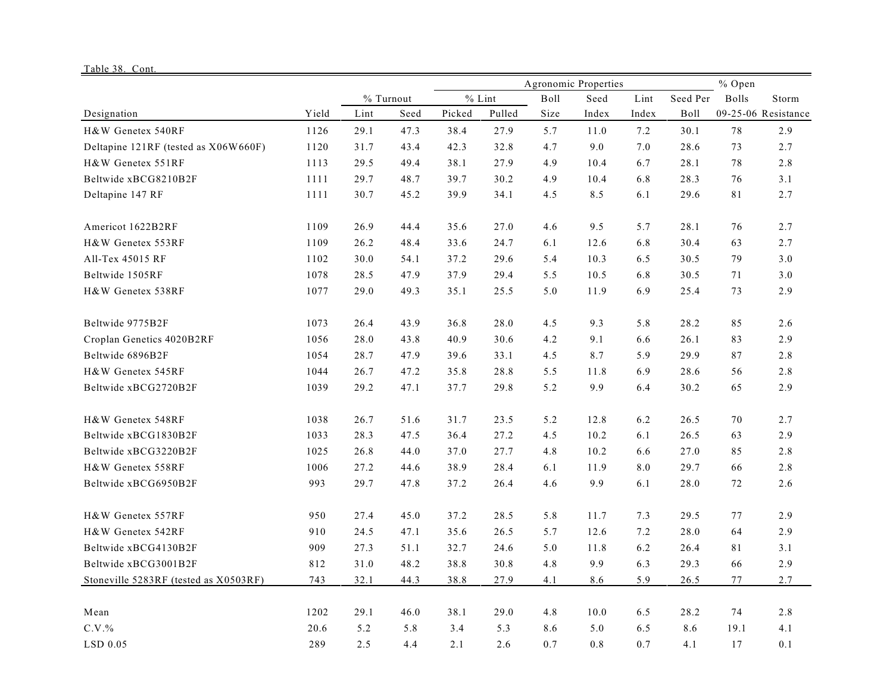## Table 38. Cont.

|                                       |       |      |           |        |          | Agronomic Properties | % Open |       |          |       |                     |
|---------------------------------------|-------|------|-----------|--------|----------|----------------------|--------|-------|----------|-------|---------------------|
|                                       |       |      | % Turnout |        | $%$ Lint | <b>Boll</b>          | Seed   | Lint  | Seed Per | Bolls | Storm               |
| Designation                           | Yield | Lint | Seed      | Picked | Pulled   | Size                 | Index  | Index | Boll     |       | 09-25-06 Resistance |
| H&W Genetex 540RF                     | 1126  | 29.1 | 47.3      | 38.4   | 27.9     | 5.7                  | 11.0   | 7.2   | 30.1     | 78    | 2.9                 |
| Deltapine 121RF (tested as X06W660F)  | 1120  | 31.7 | 43.4      | 42.3   | 32.8     | 4.7                  | 9.0    | 7.0   | 28.6     | 73    | 2.7                 |
| H&W Genetex 551RF                     | 1113  | 29.5 | 49.4      | 38.1   | 27.9     | 4.9                  | 10.4   | 6.7   | 28.1     | 78    | 2.8                 |
| Beltwide xBCG8210B2F                  | 1111  | 29.7 | 48.7      | 39.7   | 30.2     | 4.9                  | 10.4   | 6.8   | 28.3     | 76    | 3.1                 |
| Deltapine 147 RF                      | 1111  | 30.7 | 45.2      | 39.9   | 34.1     | 4.5                  | 8.5    | 6.1   | 29.6     | 81    | 2.7                 |
| Americot 1622B2RF                     | 1109  | 26.9 | 44.4      | 35.6   | 27.0     | 4.6                  | 9.5    | 5.7   | 28.1     | 76    | 2.7                 |
| H&W Genetex 553RF                     | 1109  | 26.2 | 48.4      | 33.6   | 24.7     | 6.1                  | 12.6   | 6.8   | 30.4     | 63    | 2.7                 |
| All-Tex 45015 RF                      | 1102  | 30.0 | 54.1      | 37.2   | 29.6     | 5.4                  | 10.3   | 6.5   | 30.5     | 79    | 3.0                 |
| Beltwide 1505RF                       | 1078  | 28.5 | 47.9      | 37.9   | 29.4     | 5.5                  | 10.5   | 6.8   | 30.5     | 71    | 3.0                 |
| H&W Genetex 538RF                     | 1077  | 29.0 | 49.3      | 35.1   | 25.5     | 5.0                  | 11.9   | 6.9   | 25.4     | 73    | 2.9                 |
| Beltwide 9775B2F                      | 1073  | 26.4 | 43.9      | 36.8   | 28.0     | 4.5                  | 9.3    | 5.8   | 28.2     | 85    | 2.6                 |
| Croplan Genetics 4020B2RF             | 1056  | 28.0 | 43.8      | 40.9   | 30.6     | 4.2                  | 9.1    | 6.6   | 26.1     | 83    | 2.9                 |
| Beltwide 6896B2F                      | 1054  | 28.7 | 47.9      | 39.6   | 33.1     | 4.5                  | 8.7    | 5.9   | 29.9     | 87    | 2.8                 |
| H&W Genetex 545RF                     | 1044  | 26.7 | 47.2      | 35.8   | 28.8     | 5.5                  | 11.8   | 6.9   | 28.6     | 56    | 2.8                 |
| Beltwide xBCG2720B2F                  | 1039  | 29.2 | 47.1      | 37.7   | 29.8     | 5.2                  | 9.9    | 6.4   | 30.2     | 65    | 2.9                 |
| H&W Genetex 548RF                     | 1038  | 26.7 | 51.6      | 31.7   | 23.5     | 5.2                  | 12.8   | 6.2   | 26.5     | 70    | 2.7                 |
| Beltwide xBCG1830B2F                  | 1033  | 28.3 | 47.5      | 36.4   | 27.2     | 4.5                  | 10.2   | 6.1   | 26.5     | 63    | 2.9                 |
| Beltwide xBCG3220B2F                  | 1025  | 26.8 | 44.0      | 37.0   | 27.7     | 4.8                  | 10.2   | 6.6   | 27.0     | 85    | 2.8                 |
| H&W Genetex 558RF                     | 1006  | 27.2 | 44.6      | 38.9   | 28.4     | 6.1                  | 11.9   | 8.0   | 29.7     | 66    | 2.8                 |
| Beltwide xBCG6950B2F                  | 993   | 29.7 | 47.8      | 37.2   | 26.4     | 4.6                  | 9.9    | 6.1   | 28.0     | 72    | 2.6                 |
| H&W Genetex 557RF                     | 950   | 27.4 | 45.0      | 37.2   | 28.5     | 5.8                  | 11.7   | 7.3   | 29.5     | 77    | 2.9                 |
| H&W Genetex 542RF                     | 910   | 24.5 | 47.1      | 35.6   | 26.5     | 5.7                  | 12.6   | 7.2   | 28.0     | 64    | 2.9                 |
| Beltwide xBCG4130B2F                  | 909   | 27.3 | 51.1      | 32.7   | 24.6     | 5.0                  | 11.8   | 6.2   | 26.4     | 81    | 3.1                 |
| Beltwide xBCG3001B2F                  | 812   | 31.0 | 48.2      | 38.8   | 30.8     | 4.8                  | 9.9    | 6.3   | 29.3     | 66    | 2.9                 |
| Stoneville 5283RF (tested as X0503RF) | 743   | 32.1 | 44.3      | 38.8   | 27.9     | 4.1                  | 8.6    | 5.9   | 26.5     | 77    | 2.7                 |
| Mean                                  | 1202  | 29.1 | 46.0      | 38.1   | 29.0     | 4.8                  | 10.0   | 6.5   | 28.2     | 74    | 2.8                 |
| $C.V.$ %                              | 20.6  | 5.2  | 5.8       | 3.4    | 5.3      | 8.6                  | 5.0    | 6.5   | 8.6      | 19.1  | 4.1                 |
| LSD 0.05                              | 289   | 2.5  | 4.4       | 2.1    | 2.6      | 0.7                  | 0.8    | 0.7   | 4.1      | 17    | 0.1                 |

۰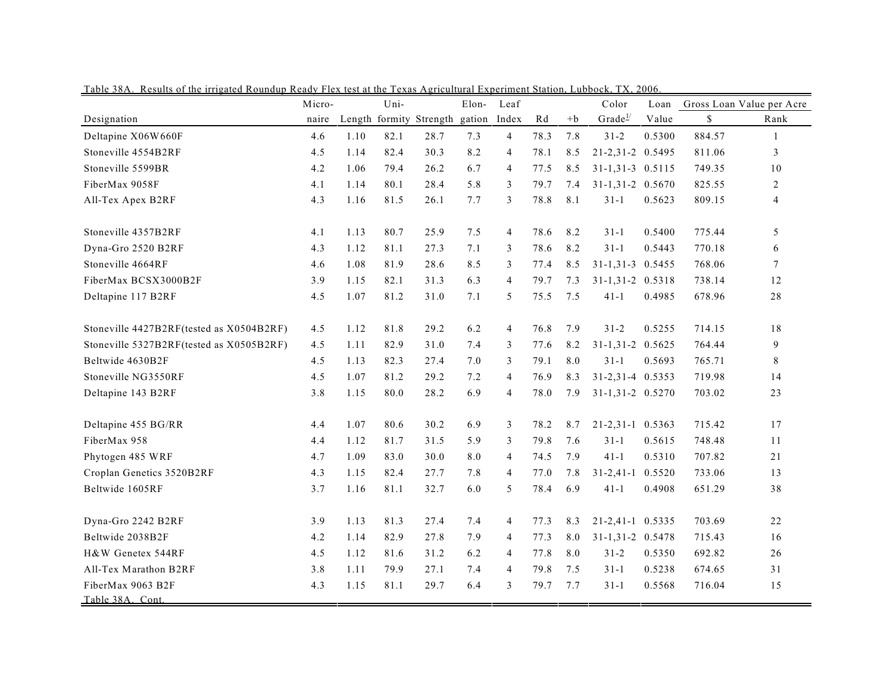|                                          | Micro- |      | Uni- |                         | Elon-  | Leaf           |      |      | Color               | Loan   |        | Gross Loan Value per Acre |
|------------------------------------------|--------|------|------|-------------------------|--------|----------------|------|------|---------------------|--------|--------|---------------------------|
| Designation                              | naire  |      |      | Length formity Strength | gation | Index          | Rd   | $+b$ | Grade <sup>1/</sup> | Value  | \$     | Rank                      |
| Deltapine X06W660F                       | 4.6    | 1.10 | 82.1 | 28.7                    | 7.3    | $\overline{4}$ | 78.3 | 7.8  | $31 - 2$            | 0.5300 | 884.57 | $\mathbf{1}$              |
| Stoneville 4554B2RF                      | 4.5    | 1.14 | 82.4 | 30.3                    | 8.2    | 4              | 78.1 | 8.5  | 21-2,31-2 0.5495    |        | 811.06 | 3                         |
| Stoneville 5599BR                        | 4.2    | 1.06 | 79.4 | 26.2                    | 6.7    | $\overline{4}$ | 77.5 | 8.5  | $31-1,31-3$ 0.5115  |        | 749.35 | 10                        |
| FiberMax 9058F                           | 4.1    | 1.14 | 80.1 | 28.4                    | 5.8    | 3              | 79.7 | 7.4  | 31-1,31-2 0.5670    |        | 825.55 | 2                         |
| All-Tex Apex B2RF                        | 4.3    | 1.16 | 81.5 | 26.1                    | 7.7    | 3              | 78.8 | 8.1  | $31 - 1$            | 0.5623 | 809.15 | $\overline{4}$            |
| Stoneville 4357B2RF                      | 4.1    | 1.13 | 80.7 | 25.9                    | 7.5    | 4              | 78.6 | 8.2  | $31-1$              | 0.5400 | 775.44 | 5                         |
| Dyna-Gro 2520 B2RF                       | 4.3    | 1.12 | 81.1 | 27.3                    | 7.1    | 3              | 78.6 | 8.2  | $31 - 1$            | 0.5443 | 770.18 | 6                         |
| Stoneville 4664RF                        | 4.6    | 1.08 | 81.9 | 28.6                    | 8.5    | 3              | 77.4 | 8.5  | 31-1,31-3 0.5455    |        | 768.06 | $\tau$                    |
| FiberMax BCSX3000B2F                     | 3.9    | 1.15 | 82.1 | 31.3                    | 6.3    | 4              | 79.7 | 7.3  | $31-1,31-2$ 0.5318  |        | 738.14 | 12                        |
| Deltapine 117 B2RF                       | 4.5    | 1.07 | 81.2 | 31.0                    | 7.1    | 5              | 75.5 | 7.5  | $41 - 1$            | 0.4985 | 678.96 | 28                        |
| Stoneville 4427B2RF(tested as X0504B2RF) | 4.5    | 1.12 | 81.8 | 29.2                    | 6.2    | 4              | 76.8 | 7.9  | $31 - 2$            | 0.5255 | 714.15 | 18                        |
| Stoneville 5327B2RF(tested as X0505B2RF) | 4.5    | 1.11 | 82.9 | 31.0                    | 7.4    | 3              | 77.6 | 8.2  | $31 - 1, 31 - 2$    | 0.5625 | 764.44 | $\mathbf{9}$              |
| Beltwide 4630B2F                         | 4.5    | 1.13 | 82.3 | 27.4                    | 7.0    | 3              | 79.1 | 8.0  | $31 - 1$            | 0.5693 | 765.71 | 8                         |
| Stoneville NG3550RF                      | 4.5    | 1.07 | 81.2 | 29.2                    | 7.2    | 4              | 76.9 | 8.3  | 31-2,31-4 0.5353    |        | 719.98 | 14                        |
| Deltapine 143 B2RF                       | 3.8    | 1.15 | 80.0 | 28.2                    | 6.9    | 4              | 78.0 | 7.9  | 31-1,31-2 0.5270    |        | 703.02 | 23                        |
| Deltapine 455 BG/RR                      | 4.4    | 1.07 | 80.6 | 30.2                    | 6.9    | 3              | 78.2 | 8.7  | $21 - 2, 31 - 1$    | 0.5363 | 715.42 | 17                        |
| FiberMax 958                             | 4.4    | 1.12 | 81.7 | 31.5                    | 5.9    | 3              | 79.8 | 7.6  | $31 - 1$            | 0.5615 | 748.48 | 11                        |
| Phytogen 485 WRF                         | 4.7    | 1.09 | 83.0 | 30.0                    | 8.0    | 4              | 74.5 | 7.9  | $41 - 1$            | 0.5310 | 707.82 | 21                        |
| Croplan Genetics 3520B2RF                | 4.3    | 1.15 | 82.4 | 27.7                    | 7.8    | $\overline{4}$ | 77.0 | 7.8  | $31 - 2, 41 - 1$    | 0.5520 | 733.06 | 13                        |
| Beltwide 1605RF                          | 3.7    | 1.16 | 81.1 | 32.7                    | 6.0    | 5              | 78.4 | 6.9  | $41 - 1$            | 0.4908 | 651.29 | 38                        |
| Dyna-Gro 2242 B2RF                       | 3.9    | 1.13 | 81.3 | 27.4                    | 7.4    | $\overline{4}$ | 77.3 | 8.3  | 21-2,41-1 0.5335    |        | 703.69 | 22                        |
| Beltwide 2038B2F                         | 4.2    | 1.14 | 82.9 | 27.8                    | 7.9    | 4              | 77.3 | 8.0  | 31-1,31-2 0.5478    |        | 715.43 | 16                        |
| H&W Genetex 544RF                        | 4.5    | 1.12 | 81.6 | 31.2                    | 6.2    | $\overline{4}$ | 77.8 | 8.0  | $31 - 2$            | 0.5350 | 692.82 | 26                        |
| All-Tex Marathon B2RF                    | 3.8    | 1.11 | 79.9 | 27.1                    | 7.4    | 4              | 79.8 | 7.5  | $31 - 1$            | 0.5238 | 674.65 | 31                        |
| FiberMax 9063 B2F<br>Table 38A. Cont.    | 4.3    | 1.15 | 81.1 | 29.7                    | 6.4    | 3              | 79.7 | 7.7  | $31 - 1$            | 0.5568 | 716.04 | 15                        |

Table 38A. Results of the irrigated Roundup Ready Flex test at the Texas Agricultural Experiment Station, Lubbock, TX, 2006.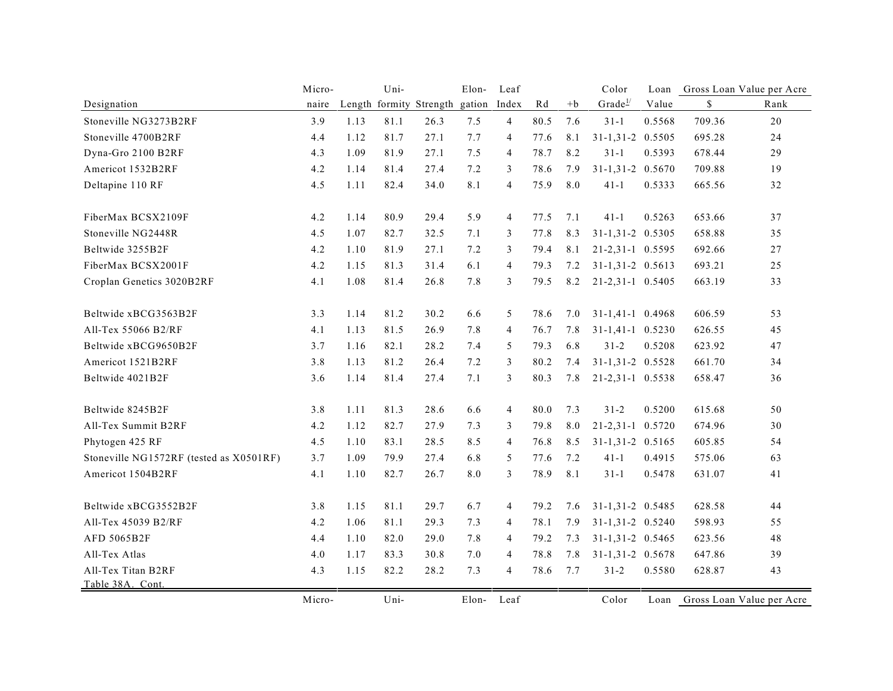|                                         | Micro- |      | Uni- |                         | Elon-  | Leaf           |      |      | Color               | Loan   |        | Gross Loan Value per Acre |
|-----------------------------------------|--------|------|------|-------------------------|--------|----------------|------|------|---------------------|--------|--------|---------------------------|
| Designation                             | naire  |      |      | Length formity Strength | gation | Index          | Rd   | $+b$ | Grade <sup>1/</sup> | Value  | \$     | Rank                      |
| Stoneville NG3273B2RF                   | 3.9    | 1.13 | 81.1 | 26.3                    | 7.5    | $\overline{4}$ | 80.5 | 7.6  | $31-1$              | 0.5568 | 709.36 | 20                        |
| Stoneville 4700B2RF                     | 4.4    | 1.12 | 81.7 | 27.1                    | 7.7    | 4              | 77.6 | 8.1  | $31-1,31-2$ 0.5505  |        | 695.28 | 24                        |
| Dyna-Gro 2100 B2RF                      | 4.3    | 1.09 | 81.9 | 27.1                    | 7.5    | $\overline{4}$ | 78.7 | 8.2  | $31-1$              | 0.5393 | 678.44 | 29                        |
| Americot 1532B2RF                       | 4.2    | 1.14 | 81.4 | 27.4                    | 7.2    | 3              | 78.6 | 7.9  | 31-1,31-2 0.5670    |        | 709.88 | 19                        |
| Deltapine 110 RF                        | 4.5    | 1.11 | 82.4 | 34.0                    | 8.1    | $\overline{4}$ | 75.9 | 8.0  | $41 - 1$            | 0.5333 | 665.56 | 32                        |
| FiberMax BCSX2109F                      | 4.2    | 1.14 | 80.9 | 29.4                    | 5.9    | $\overline{4}$ | 77.5 | 7.1  | $41 - 1$            | 0.5263 | 653.66 | 37                        |
| Stoneville NG2448R                      | 4.5    | 1.07 | 82.7 | 32.5                    | 7.1    | 3              | 77.8 | 8.3  | 31-1,31-2 0.5305    |        | 658.88 | 35                        |
| Beltwide 3255B2F                        | 4.2    | 1.10 | 81.9 | 27.1                    | 7.2    | 3              | 79.4 | 8.1  | 21-2,31-1 0.5595    |        | 692.66 | 27                        |
| FiberMax BCSX2001F                      | 4.2    | 1.15 | 81.3 | 31.4                    | 6.1    | $\overline{4}$ | 79.3 | 7.2  | 31-1,31-2 0.5613    |        | 693.21 | 25                        |
| Croplan Genetics 3020B2RF               | 4.1    | 1.08 | 81.4 | 26.8                    | 7.8    | 3              | 79.5 | 8.2  | 21-2,31-1 0.5405    |        | 663.19 | 33                        |
| Beltwide xBCG3563B2F                    | 3.3    | 1.14 | 81.2 | 30.2                    | 6.6    | 5              | 78.6 | 7.0  | $31-1,41-1$ 0.4968  |        | 606.59 | 53                        |
| All-Tex 55066 B2/RF                     | 4.1    | 1.13 | 81.5 | 26.9                    | 7.8    | $\overline{4}$ | 76.7 | 7.8  | $31-1,41-1$ 0.5230  |        | 626.55 | 45                        |
| Beltwide xBCG9650B2F                    | 3.7    | 1.16 | 82.1 | 28.2                    | 7.4    | 5              | 79.3 | 6.8  | $31 - 2$            | 0.5208 | 623.92 | 47                        |
| Americot 1521B2RF                       | 3.8    | 1.13 | 81.2 | 26.4                    | 7.2    | 3              | 80.2 | 7.4  | $31-1,31-2$ 0.5528  |        | 661.70 | 34                        |
| Beltwide 4021B2F                        | 3.6    | 1.14 | 81.4 | 27.4                    | 7.1    | 3              | 80.3 | 7.8  | 21-2,31-1 0.5538    |        | 658.47 | 36                        |
| Beltwide 8245B2F                        | 3.8    | 1.11 | 81.3 | 28.6                    | 6.6    | $\overline{4}$ | 80.0 | 7.3  | $31 - 2$            | 0.5200 | 615.68 | 50                        |
| All-Tex Summit B2RF                     | 4.2    | 1.12 | 82.7 | 27.9                    | 7.3    | 3              | 79.8 | 8.0  | 21-2,31-1 0.5720    |        | 674.96 | 30                        |
| Phytogen 425 RF                         | 4.5    | 1.10 | 83.1 | 28.5                    | 8.5    | $\overline{4}$ | 76.8 | 8.5  | 31-1,31-2 0.5165    |        | 605.85 | 54                        |
| Stoneville NG1572RF (tested as X0501RF) | 3.7    | 1.09 | 79.9 | 27.4                    | 6.8    | 5              | 77.6 | 7.2  | $41-1$              | 0.4915 | 575.06 | 63                        |
| Americot 1504B2RF                       | 4.1    | 1.10 | 82.7 | 26.7                    | 8.0    | 3              | 78.9 | 8.1  | $31 - 1$            | 0.5478 | 631.07 | 41                        |
| Beltwide xBCG3552B2F                    | 3.8    | 1.15 | 81.1 | 29.7                    | 6.7    | $\overline{4}$ | 79.2 | 7.6  | $31-1,31-2$ 0.5485  |        | 628.58 | 44                        |
| All-Tex 45039 B2/RF                     | 4.2    | 1.06 | 81.1 | 29.3                    | 7.3    | $\overline{4}$ | 78.1 | 7.9  | 31-1,31-2 0.5240    |        | 598.93 | 55                        |
| AFD 5065B2F                             | 4.4    | 1.10 | 82.0 | 29.0                    | 7.8    | 4              | 79.2 | 7.3  | 31-1,31-2 0.5465    |        | 623.56 | 48                        |
| All-Tex Atlas                           | 4.0    | 1.17 | 83.3 | 30.8                    | 7.0    | $\overline{4}$ | 78.8 | 7.8  | $31-1,31-2$ 0.5678  |        | 647.86 | 39                        |
| All-Tex Titan B2RF                      | 4.3    | 1.15 | 82.2 | 28.2                    | 7.3    | $\overline{4}$ | 78.6 | 7.7  | $31 - 2$            | 0.5580 | 628.87 | 43                        |
| Table 38A. Cont.                        |        |      |      |                         |        |                |      |      |                     |        |        |                           |
|                                         | Micro- |      | Uni- |                         | Elon-  | Leaf           |      |      | Color               | Loan   |        | Gross Loan Value per Acre |